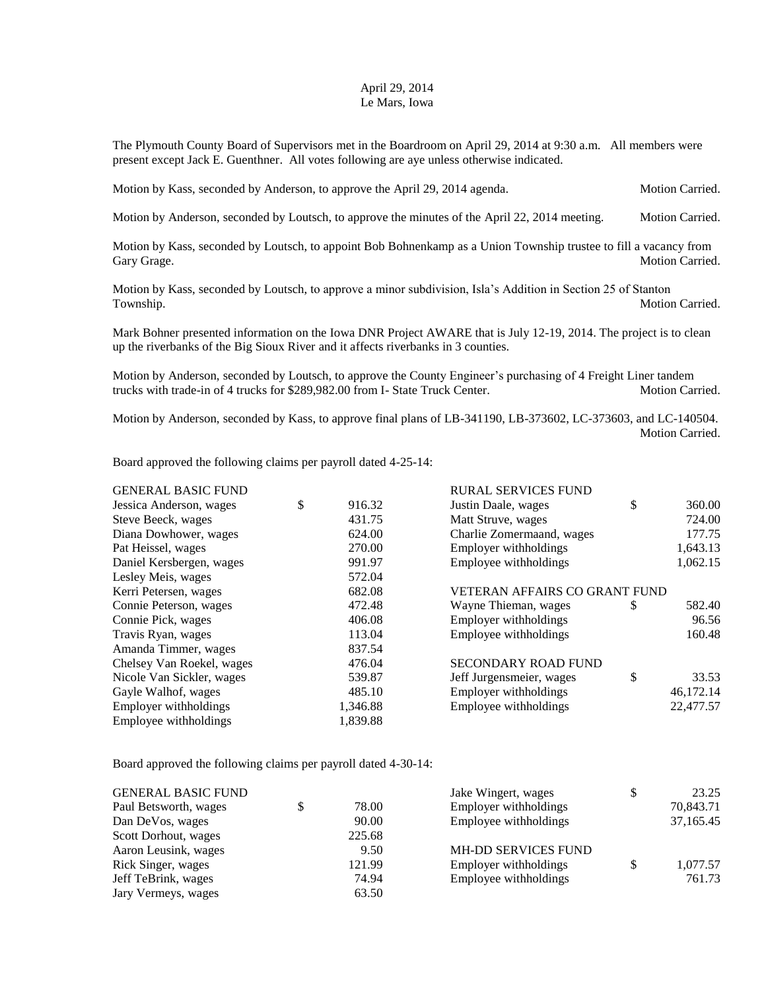## April 29, 2014 Le Mars, Iowa

The Plymouth County Board of Supervisors met in the Boardroom on April 29, 2014 at 9:30 a.m. All members were present except Jack E. Guenthner. All votes following are aye unless otherwise indicated.

Motion by Kass, seconded by Anderson, to approve the April 29, 2014 agenda. Motion Carried.

Motion by Anderson, seconded by Loutsch, to approve the minutes of the April 22, 2014 meeting. Motion Carried.

Motion by Kass, seconded by Loutsch, to appoint Bob Bohnenkamp as a Union Township trustee to fill a vacancy from Gary Grage. Motion Carried.

Motion by Kass, seconded by Loutsch, to approve a minor subdivision, Isla's Addition in Section 25 of Stanton Township. Motion Carried.

Mark Bohner presented information on the Iowa DNR Project AWARE that is July 12-19, 2014. The project is to clean up the riverbanks of the Big Sioux River and it affects riverbanks in 3 counties.

Motion by Anderson, seconded by Loutsch, to approve the County Engineer's purchasing of 4 Freight Liner tandem trucks with trade-in of 4 trucks for \$289,982.00 from I- State Truck Center. Motion Carried.

Motion by Anderson, seconded by Kass, to approve final plans of LB-341190, LB-373602, LC-373603, and LC-140504. Motion Carried.

Board approved the following claims per payroll dated 4-25-14:

| <b>GENERAL BASIC FUND</b> |              | <b>RURAL SERVICES FUND</b>           |    |           |  |
|---------------------------|--------------|--------------------------------------|----|-----------|--|
| Jessica Anderson, wages   | \$<br>916.32 | Justin Daale, wages                  | \$ | 360.00    |  |
| Steve Beeck, wages        | 431.75       | Matt Struve, wages                   |    | 724.00    |  |
| Diana Dowhower, wages     | 624.00       | Charlie Zomermaand, wages            |    | 177.75    |  |
| Pat Heissel, wages        | 270.00       | Employer withholdings                |    | 1,643.13  |  |
| Daniel Kersbergen, wages  | 991.97       | Employee withholdings                |    | 1,062.15  |  |
| Lesley Meis, wages        | 572.04       |                                      |    |           |  |
| Kerri Petersen, wages     | 682.08       | <b>VETERAN AFFAIRS CO GRANT FUND</b> |    |           |  |
| Connie Peterson, wages    | 472.48       | Wayne Thieman, wages                 | S  | 582.40    |  |
| Connie Pick, wages        | 406.08       | Employer withholdings                |    | 96.56     |  |
| Travis Ryan, wages        | 113.04       | Employee withholdings                |    | 160.48    |  |
| Amanda Timmer, wages      | 837.54       |                                      |    |           |  |
| Chelsey Van Roekel, wages | 476.04       | <b>SECONDARY ROAD FUND</b>           |    |           |  |
| Nicole Van Sickler, wages | 539.87       | Jeff Jurgensmeier, wages             | \$ | 33.53     |  |
| Gayle Walhof, wages       | 485.10       | Employer withholdings                |    | 46,172.14 |  |
| Employer withholdings     | 1,346.88     | Employee withholdings                |    | 22,477.57 |  |
| Employee withholdings     | 1,839.88     |                                      |    |           |  |

Board approved the following claims per payroll dated 4-30-14:

| <b>GENERAL BASIC FUND</b> |        | Jake Wingert, wages        | \$<br>23.25    |
|---------------------------|--------|----------------------------|----------------|
| Paul Betsworth, wages     | 78.00  | Employer withholdings      | 70,843.71      |
| Dan DeVos, wages          | 90.00  | Employee withholdings      | 37,165.45      |
| Scott Dorhout, wages      | 225.68 |                            |                |
| Aaron Leusink, wages      | 9.50   | <b>MH-DD SERVICES FUND</b> |                |
| Rick Singer, wages        | 121.99 | Employer withholdings      | \$<br>1,077.57 |
| Jeff TeBrink, wages       | 74.94  | Employee withholdings      | 761.73         |
| Jary Vermeys, wages       | 63.50  |                            |                |